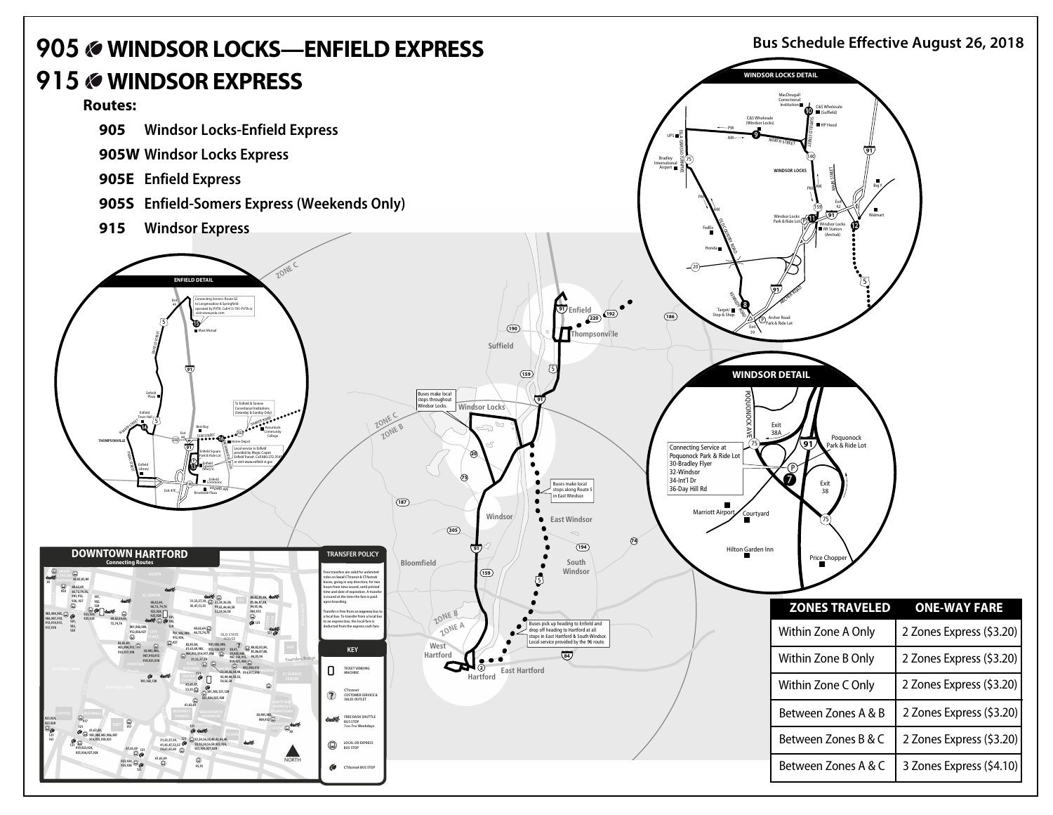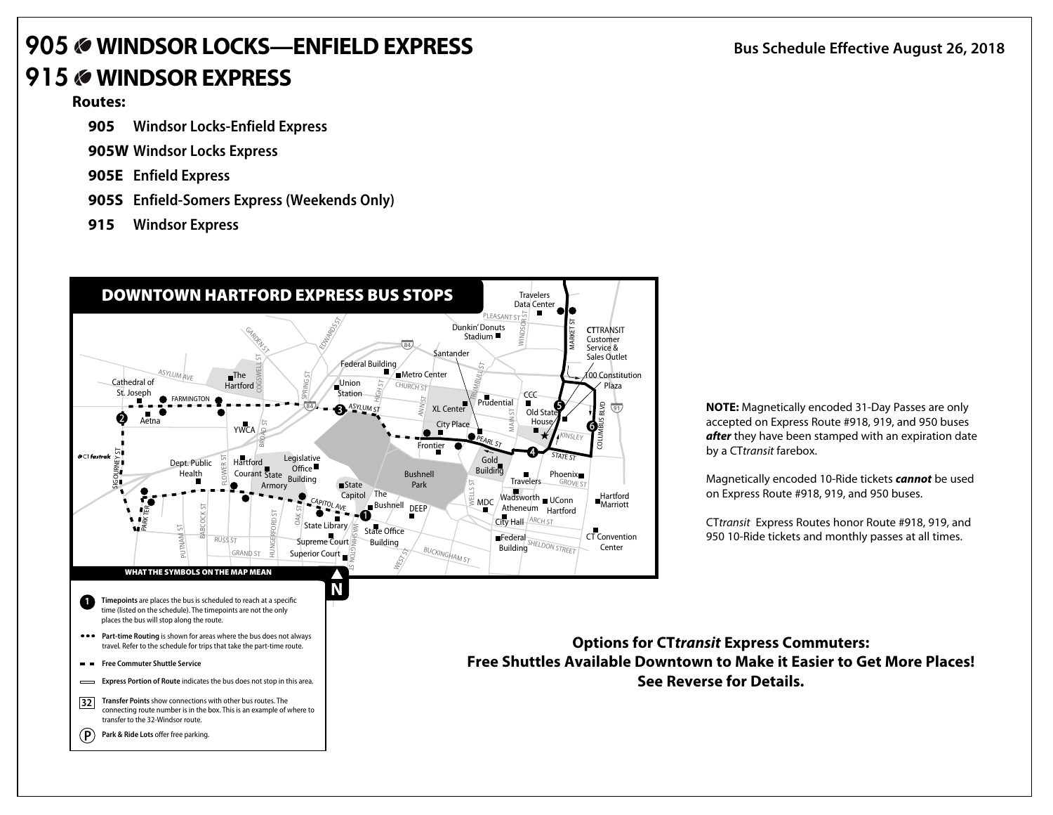## **905 WINDSOR LOCKS—ENFIELDEXPRESS 915 WINDSOR EXPRESS**

## **Routes:**

- **905 Windsor Locks-Enfield Express**
- **905W Windsor Locks Express**
- **905E Enfield Express**
- **905S Enfield-Somers Express (Weekends Only)**
- **915 Windsor Express**



**NOTE:** Magnetically encoded 31-Day Passes are only accepted on Express Route #918, 919, and 950 buses *after* they have been stamped with an expiration date by a CT*transit* farebox.

Magnetically encoded 10-Ride tickets *cannot* be used on Express Route #918, 919, and 950 buses.

CT*transit* Express Routes honor Route #918, 919, and 950 10-Ride tickets and monthly passes at all times.

travel. Refer to the schedule for trips that take the part-time route. **Options for CT***transit* **Express Commuters: Free Shuttles Available Downtown to Make it Easier to Get More Places! See Reverse for Details.**